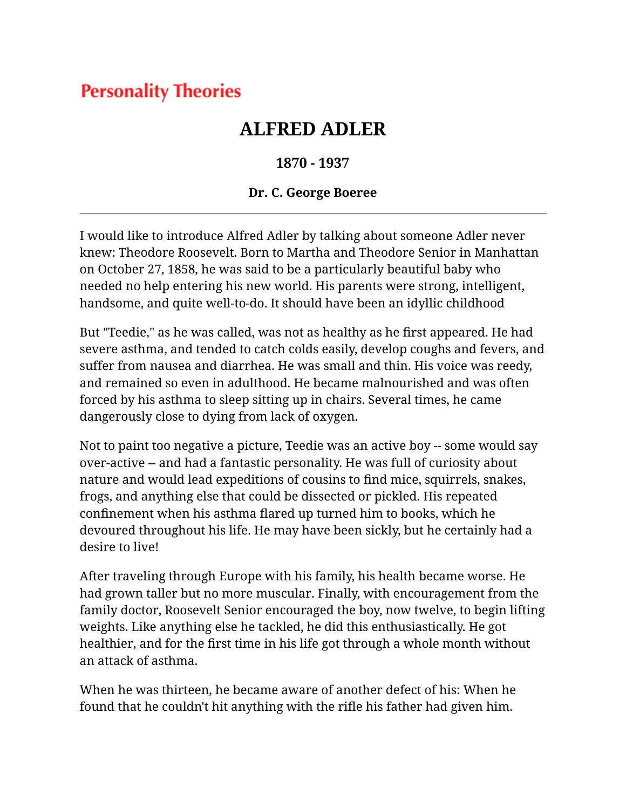## **Personality Theories**

# **ALFRED ADLER**

#### **1870 - 1937**

#### **Dr. C. George Boeree**

I would like to introduce Alfred Adler by talking about someone Adler never knew: Theodore Roosevelt. Born to Martha and Theodore Senior in Manhattan on October 27, 1858, he was said to be a particularly beautiful baby who needed no help entering his new world. His parents were strong, intelligent, handsome, and quite well-to-do. It should have been an idyllic childhood

But "Teedie," as he was called, was not as healthy as he first appeared. He had severe asthma, and tended to catch colds easily, develop coughs and fevers, and suffer from nausea and diarrhea. He was small and thin. His voice was reedy, and remained so even in adulthood. He became malnourished and was often forced by his asthma to sleep sitting up in chairs. Several times, he came dangerously close to dying from lack of oxygen.

Not to paint too negative a picture, Teedie was an active boy -- some would say over-active -- and had a fantastic personality. He was full of curiosity about nature and would lead expeditions of cousins to find mice, squirrels, snakes, frogs, and anything else that could be dissected or pickled. His repeated confinement when his asthma flared up turned him to books, which he devoured throughout his life. He may have been sickly, but he certainly had a desire to live!

After traveling through Europe with his family, his health became worse. He had grown taller but no more muscular. Finally, with encouragement from the family doctor, Roosevelt Senior encouraged the boy, now twelve, to begin lifting weights. Like anything else he tackled, he did this enthusiastically. He got healthier, and for the first time in his life got through a whole month without an attack of asthma.

When he was thirteen, he became aware of another defect of his: When he found that he couldn't hit anything with the rifle his father had given him.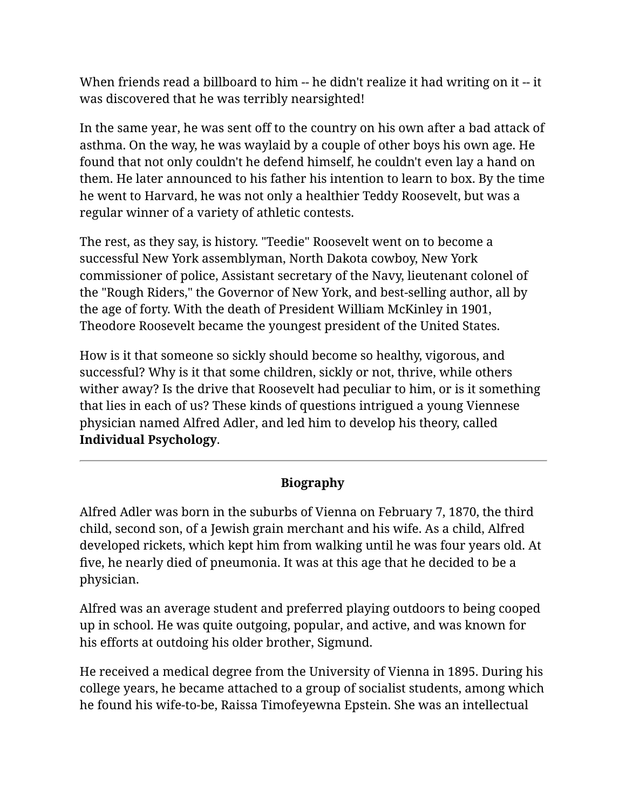When friends read a billboard to him -- he didn't realize it had writing on it -- it was discovered that he was terribly nearsighted!

In the same year, he was sent off to the country on his own after a bad attack of asthma. On the way, he was waylaid by a couple of other boys his own age. He found that not only couldn't he defend himself, he couldn't even lay a hand on them. He later announced to his father his intention to learn to box. By the time he went to Harvard, he was not only a healthier Teddy Roosevelt, but was a regular winner of a variety of athletic contests.

The rest, as they say, is history. "Teedie" Roosevelt went on to become a successful New York assemblyman, North Dakota cowboy, New York commissioner of police, Assistant secretary of the Navy, lieutenant colonel of the "Rough Riders," the Governor of New York, and best-selling author, all by the age of forty. With the death of President William McKinley in 1901, Theodore Roosevelt became the youngest president of the United States.

How is it that someone so sickly should become so healthy, vigorous, and successful? Why is it that some children, sickly or not, thrive, while others wither away? Is the drive that Roosevelt had peculiar to him, or is it something that lies in each of us? These kinds of questions intrigued a young Viennese physician named Alfred Adler, and led him to develop his theory, called **Individual Psychology**.

#### **Biography**

Alfred Adler was born in the suburbs of Vienna on February 7, 1870, the third child, second son, of a Jewish grain merchant and his wife. As a child, Alfred developed rickets, which kept him from walking until he was four years old. At five, he nearly died of pneumonia. It was at this age that he decided to be a physician.

Alfred was an average student and preferred playing outdoors to being cooped up in school. He was quite outgoing, popular, and active, and was known for his efforts at outdoing his older brother, Sigmund.

He received a medical degree from the University of Vienna in 1895. During his college years, he became attached to a group of socialist students, among which he found his wife-to-be, Raissa Timofeyewna Epstein. She was an intellectual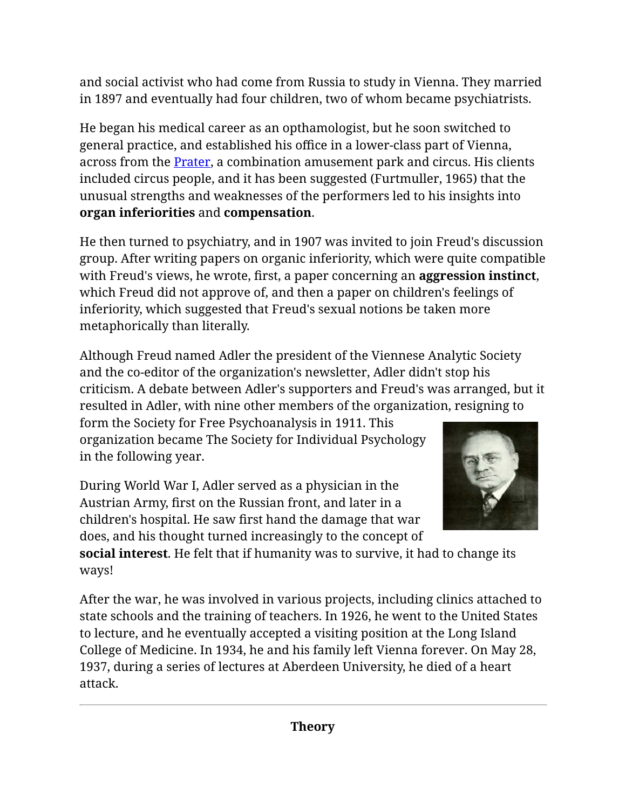and social activist who had come from Russia to study in Vienna. They married in 1897 and eventually had four children, two of whom became psychiatrists.

He began his medical career as an opthamologist, but he soon switched to general practice, and established his office in a lower-class part of Vienna, across from the **Prater**, a combination amusement park and circus. His clients included circus people, and it has been suggested (Furtmuller, 1965) that the unusual strengths and weaknesses of the performers led to his insights into **organ inferiorities** and **compensation**.

He then turned to psychiatry, and in 1907 was invited to join Freud's discussion group. After writing papers on organic inferiority, which were quite compatible with Freud's views, he wrote, first, a paper concerning an **aggression instinct**, which Freud did not approve of, and then a paper on children's feelings of inferiority, which suggested that Freud's sexual notions be taken more metaphorically than literally.

Although Freud named Adler the president of the Viennese Analytic Society and the co-editor of the organization's newsletter, Adler didn't stop his criticism. A debate between Adler's supporters and Freud's was arranged, but it resulted in Adler, with nine other members of the organization, resigning to

form the Society for Free Psychoanalysis in 1911. This organization became The Society for Individual Psychology in the following year.

During World War I, Adler served as a physician in the Austrian Army, first on the Russian front, and later in a children's hospital. He saw first hand the damage that war does, and his thought turned increasingly to the concept of



**social interest**. He felt that if humanity was to survive, it had to change its ways!

After the war, he was involved in various projects, including clinics attached to state schools and the training of teachers. In 1926, he went to the United States to lecture, and he eventually accepted a visiting position at the Long Island College of Medicine. In 1934, he and his family left Vienna forever. On May 28, 1937, during a series of lectures at Aberdeen University, he died of a heart attack.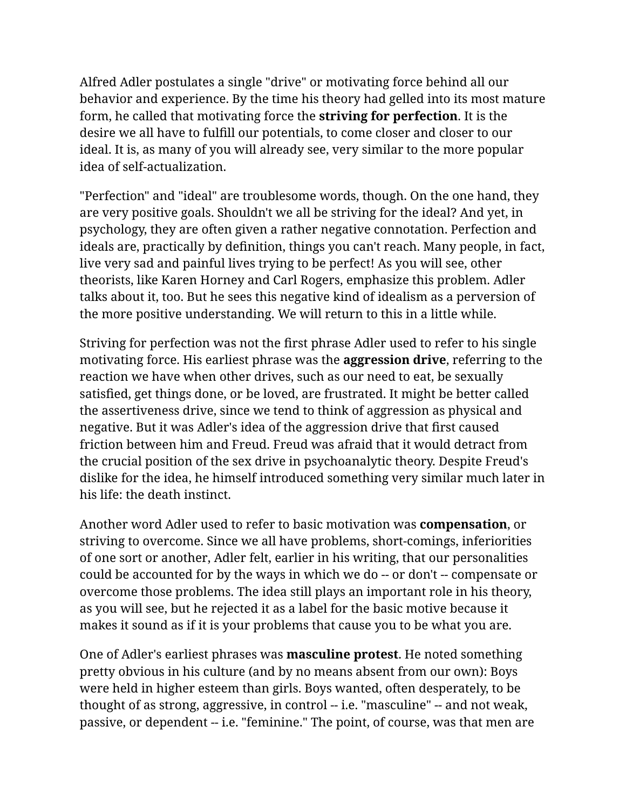Alfred Adler postulates a single "drive" or motivating force behind all our behavior and experience. By the time his theory had gelled into its most mature form, he called that motivating force the **striving for perfection**. It is the desire we all have to fulfill our potentials, to come closer and closer to our ideal. It is, as many of you will already see, very similar to the more popular idea of self-actualization.

"Perfection" and "ideal" are troublesome words, though. On the one hand, they are very positive goals. Shouldn't we all be striving for the ideal? And yet, in psychology, they are often given a rather negative connotation. Perfection and ideals are, practically by definition, things you can't reach. Many people, in fact, live very sad and painful lives trying to be perfect! As you will see, other theorists, like Karen Horney and Carl Rogers, emphasize this problem. Adler talks about it, too. But he sees this negative kind of idealism as a perversion of the more positive understanding. We will return to this in a little while.

Striving for perfection was not the first phrase Adler used to refer to his single motivating force. His earliest phrase was the **aggression drive**, referring to the reaction we have when other drives, such as our need to eat, be sexually satisfied, get things done, or be loved, are frustrated. It might be better called the assertiveness drive, since we tend to think of aggression as physical and negative. But it was Adler's idea of the aggression drive that first caused friction between him and Freud. Freud was afraid that it would detract from the crucial position of the sex drive in psychoanalytic theory. Despite Freud's dislike for the idea, he himself introduced something very similar much later in his life: the death instinct.

Another word Adler used to refer to basic motivation was **compensation**, or striving to overcome. Since we all have problems, short-comings, inferiorities of one sort or another, Adler felt, earlier in his writing, that our personalities could be accounted for by the ways in which we do -- or don't -- compensate or overcome those problems. The idea still plays an important role in his theory, as you will see, but he rejected it as a label for the basic motive because it makes it sound as if it is your problems that cause you to be what you are.

One of Adler's earliest phrases was **masculine protest**. He noted something pretty obvious in his culture (and by no means absent from our own): Boys were held in higher esteem than girls. Boys wanted, often desperately, to be thought of as strong, aggressive, in control -- i.e. "masculine" -- and not weak, passive, or dependent -- i.e. "feminine." The point, of course, was that men are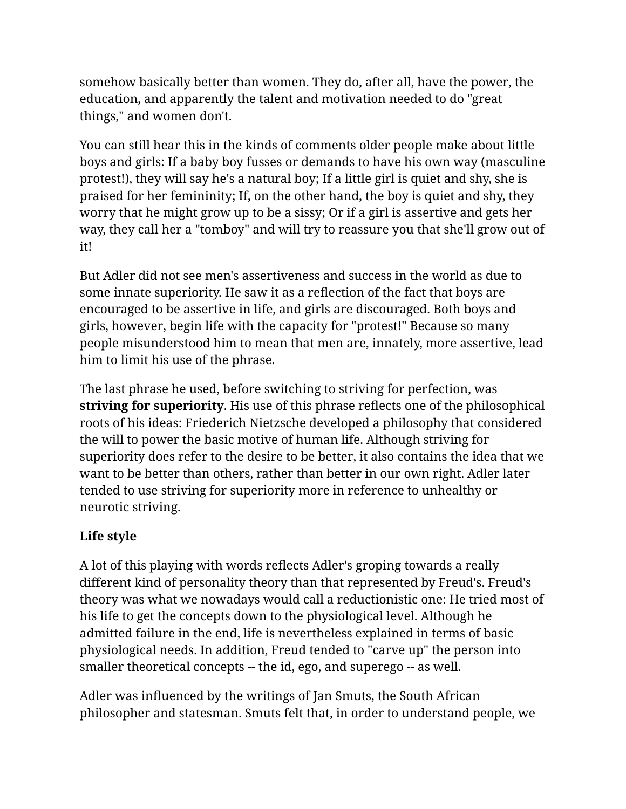somehow basically better than women. They do, after all, have the power, the education, and apparently the talent and motivation needed to do "great things," and women don't.

You can still hear this in the kinds of comments older people make about little boys and girls: If a baby boy fusses or demands to have his own way (masculine protest!), they will say he's a natural boy; If a little girl is quiet and shy, she is praised for her femininity; If, on the other hand, the boy is quiet and shy, they worry that he might grow up to be a sissy; Or if a girl is assertive and gets her way, they call her a "tomboy" and will try to reassure you that she'll grow out of it!

But Adler did not see men's assertiveness and success in the world as due to some innate superiority. He saw it as a reflection of the fact that boys are encouraged to be assertive in life, and girls are discouraged. Both boys and girls, however, begin life with the capacity for "protest!" Because so many people misunderstood him to mean that men are, innately, more assertive, lead him to limit his use of the phrase.

The last phrase he used, before switching to striving for perfection, was **striving for superiority**. His use of this phrase reflects one of the philosophical roots of his ideas: Friederich Nietzsche developed a philosophy that considered the will to power the basic motive of human life. Although striving for superiority does refer to the desire to be better, it also contains the idea that we want to be better than others, rather than better in our own right. Adler later tended to use striving for superiority more in reference to unhealthy or neurotic striving.

#### **Life style**

A lot of this playing with words reflects Adler's groping towards a really different kind of personality theory than that represented by Freud's. Freud's theory was what we nowadays would call a reductionistic one: He tried most of his life to get the concepts down to the physiological level. Although he admitted failure in the end, life is nevertheless explained in terms of basic physiological needs. In addition, Freud tended to "carve up" the person into smaller theoretical concepts -- the id, ego, and superego -- as well.

Adler was influenced by the writings of Jan Smuts, the South African philosopher and statesman. Smuts felt that, in order to understand people, we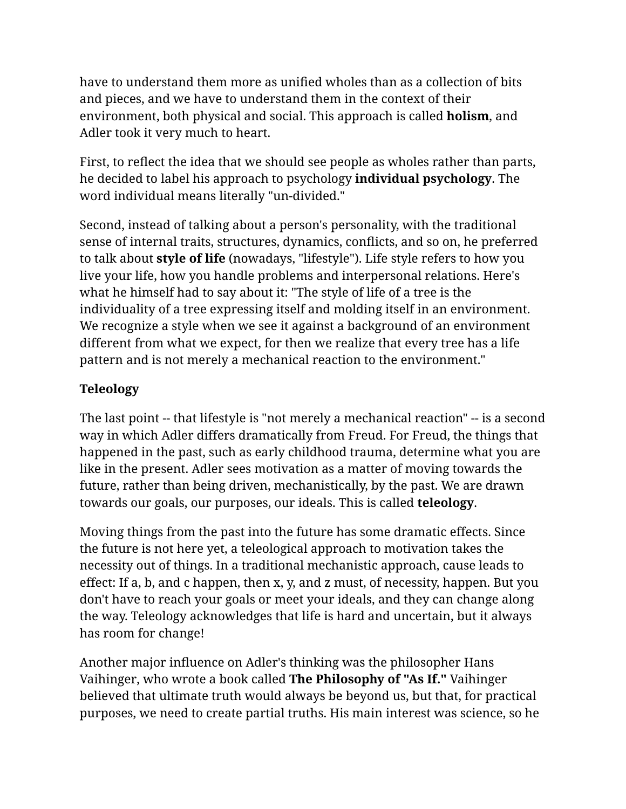have to understand them more as unified wholes than as a collection of bits and pieces, and we have to understand them in the context of their environment, both physical and social. This approach is called **holism**, and Adler took it very much to heart.

First, to reflect the idea that we should see people as wholes rather than parts, he decided to label his approach to psychology **individual psychology**. The word individual means literally "un-divided."

Second, instead of talking about a person's personality, with the traditional sense of internal traits, structures, dynamics, conflicts, and so on, he preferred to talk about **style of life** (nowadays, "lifestyle"). Life style refers to how you live your life, how you handle problems and interpersonal relations. Here's what he himself had to say about it: "The style of life of a tree is the individuality of a tree expressing itself and molding itself in an environment. We recognize a style when we see it against a background of an environment different from what we expect, for then we realize that every tree has a life pattern and is not merely a mechanical reaction to the environment."

#### **Teleology**

The last point -- that lifestyle is "not merely a mechanical reaction" -- is a second way in which Adler differs dramatically from Freud. For Freud, the things that happened in the past, such as early childhood trauma, determine what you are like in the present. Adler sees motivation as a matter of moving towards the future, rather than being driven, mechanistically, by the past. We are drawn towards our goals, our purposes, our ideals. This is called **teleology**.

Moving things from the past into the future has some dramatic effects. Since the future is not here yet, a teleological approach to motivation takes the necessity out of things. In a traditional mechanistic approach, cause leads to effect: If a, b, and c happen, then x, y, and z must, of necessity, happen. But you don't have to reach your goals or meet your ideals, and they can change along the way. Teleology acknowledges that life is hard and uncertain, but it always has room for change!

Another major influence on Adler's thinking was the philosopher Hans Vaihinger, who wrote a book called **The Philosophy of "As If."** Vaihinger believed that ultimate truth would always be beyond us, but that, for practical purposes, we need to create partial truths. His main interest was science, so he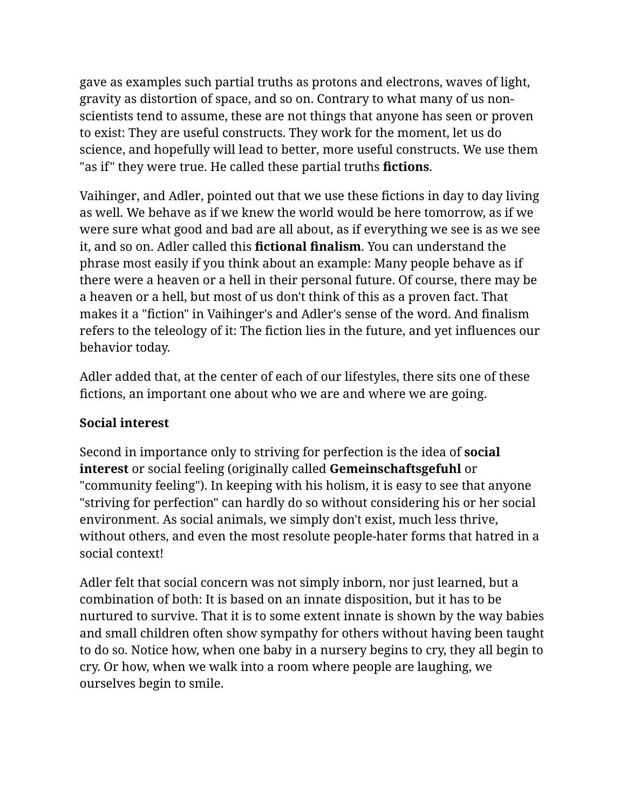gave as examples such partial truths as protons and electrons, waves of light, gravity as distortion of space, and so on. Contrary to what many of us nonscientists tend to assume, these are not things that anyone has seen or proven to exist: They are useful constructs. They work for the moment, let us do science, and hopefully will lead to better, more useful constructs. We use them "as if" they were true. He called these partial truths **fictions**.

Vaihinger, and Adler, pointed out that we use these fictions in day to day living as well. We behave as if we knew the world would be here tomorrow, as if we were sure what good and bad are all about, as if everything we see is as we see it, and so on. Adler called this **fictional finalism**. You can understand the phrase most easily if you think about an example: Many people behave as if there were a heaven or a hell in their personal future. Of course, there may be a heaven or a hell, but most of us don't think of this as a proven fact. That makes it a "fiction" in Vaihinger's and Adler's sense of the word. And finalism refers to the teleology of it: The fiction lies in the future, and yet influences our behavior today.

Adler added that, at the center of each of our lifestyles, there sits one of these fictions, an important one about who we are and where we are going.

#### **Social interest**

Second in importance only to striving for perfection is the idea of **social interest** or social feeling (originally called **Gemeinschaftsgefuhl** or "community feeling"). In keeping with his holism, it is easy to see that anyone "striving for perfection" can hardly do so without considering his or her social environment. As social animals, we simply don't exist, much less thrive, without others, and even the most resolute people-hater forms that hatred in a social context!

Adler felt that social concern was not simply inborn, nor just learned, but a combination of both: It is based on an innate disposition, but it has to be nurtured to survive. That it is to some extent innate is shown by the way babies and small children often show sympathy for others without having been taught to do so. Notice how, when one baby in a nursery begins to cry, they all begin to cry. Or how, when we walk into a room where people are laughing, we ourselves begin to smile.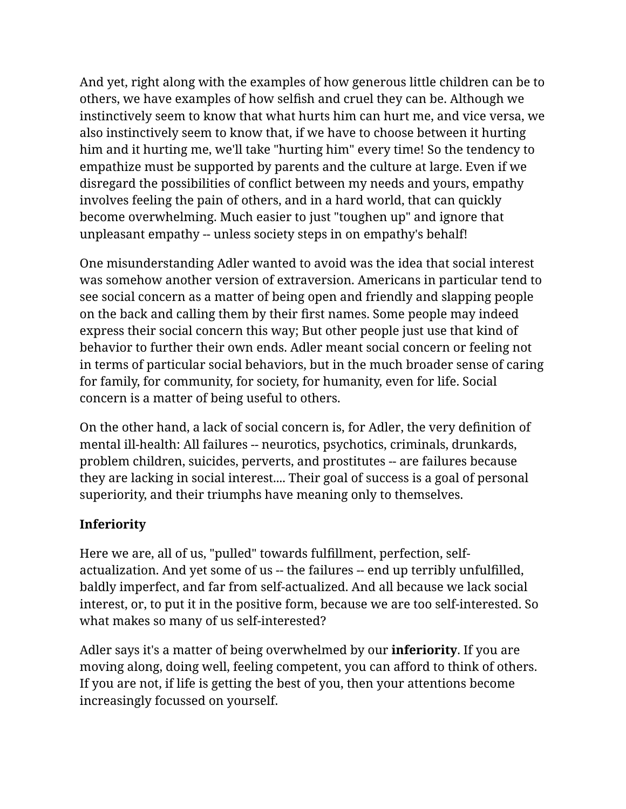And yet, right along with the examples of how generous little children can be to others, we have examples of how selfish and cruel they can be. Although we instinctively seem to know that what hurts him can hurt me, and vice versa, we also instinctively seem to know that, if we have to choose between it hurting him and it hurting me, we'll take "hurting him" every time! So the tendency to empathize must be supported by parents and the culture at large. Even if we disregard the possibilities of conflict between my needs and yours, empathy involves feeling the pain of others, and in a hard world, that can quickly become overwhelming. Much easier to just "toughen up" and ignore that unpleasant empathy -- unless society steps in on empathy's behalf!

One misunderstanding Adler wanted to avoid was the idea that social interest was somehow another version of extraversion. Americans in particular tend to see social concern as a matter of being open and friendly and slapping people on the back and calling them by their first names. Some people may indeed express their social concern this way; But other people just use that kind of behavior to further their own ends. Adler meant social concern or feeling not in terms of particular social behaviors, but in the much broader sense of caring for family, for community, for society, for humanity, even for life. Social concern is a matter of being useful to others.

On the other hand, a lack of social concern is, for Adler, the very definition of mental ill-health: All failures -- neurotics, psychotics, criminals, drunkards, problem children, suicides, perverts, and prostitutes -- are failures because they are lacking in social interest.... Their goal of success is a goal of personal superiority, and their triumphs have meaning only to themselves.

#### **Inferiority**

Here we are, all of us, "pulled" towards fulfillment, perfection, selfactualization. And yet some of us -- the failures -- end up terribly unfulfilled, baldly imperfect, and far from self-actualized. And all because we lack social interest, or, to put it in the positive form, because we are too self-interested. So what makes so many of us self-interested?

Adler says it's a matter of being overwhelmed by our **inferiority**. If you are moving along, doing well, feeling competent, you can afford to think of others. If you are not, if life is getting the best of you, then your attentions become increasingly focussed on yourself.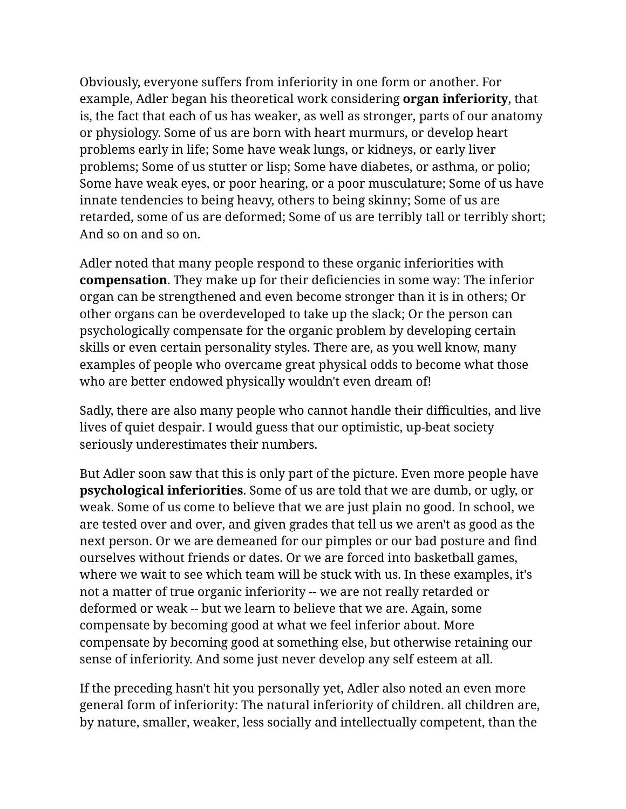Obviously, everyone suffers from inferiority in one form or another. For example, Adler began his theoretical work considering **organ inferiority**, that is, the fact that each of us has weaker, as well as stronger, parts of our anatomy or physiology. Some of us are born with heart murmurs, or develop heart problems early in life; Some have weak lungs, or kidneys, or early liver problems; Some of us stutter or lisp; Some have diabetes, or asthma, or polio; Some have weak eyes, or poor hearing, or a poor musculature; Some of us have innate tendencies to being heavy, others to being skinny; Some of us are retarded, some of us are deformed; Some of us are terribly tall or terribly short; And so on and so on.

Adler noted that many people respond to these organic inferiorities with **compensation**. They make up for their deficiencies in some way: The inferior organ can be strengthened and even become stronger than it is in others; Or other organs can be overdeveloped to take up the slack; Or the person can psychologically compensate for the organic problem by developing certain skills or even certain personality styles. There are, as you well know, many examples of people who overcame great physical odds to become what those who are better endowed physically wouldn't even dream of!

Sadly, there are also many people who cannot handle their difficulties, and live lives of quiet despair. I would guess that our optimistic, up-beat society seriously underestimates their numbers.

But Adler soon saw that this is only part of the picture. Even more people have **psychological inferiorities**. Some of us are told that we are dumb, or ugly, or weak. Some of us come to believe that we are just plain no good. In school, we are tested over and over, and given grades that tell us we aren't as good as the next person. Or we are demeaned for our pimples or our bad posture and find ourselves without friends or dates. Or we are forced into basketball games, where we wait to see which team will be stuck with us. In these examples, it's not a matter of true organic inferiority -- we are not really retarded or deformed or weak -- but we learn to believe that we are. Again, some compensate by becoming good at what we feel inferior about. More compensate by becoming good at something else, but otherwise retaining our sense of inferiority. And some just never develop any self esteem at all.

If the preceding hasn't hit you personally yet, Adler also noted an even more general form of inferiority: The natural inferiority of children. all children are, by nature, smaller, weaker, less socially and intellectually competent, than the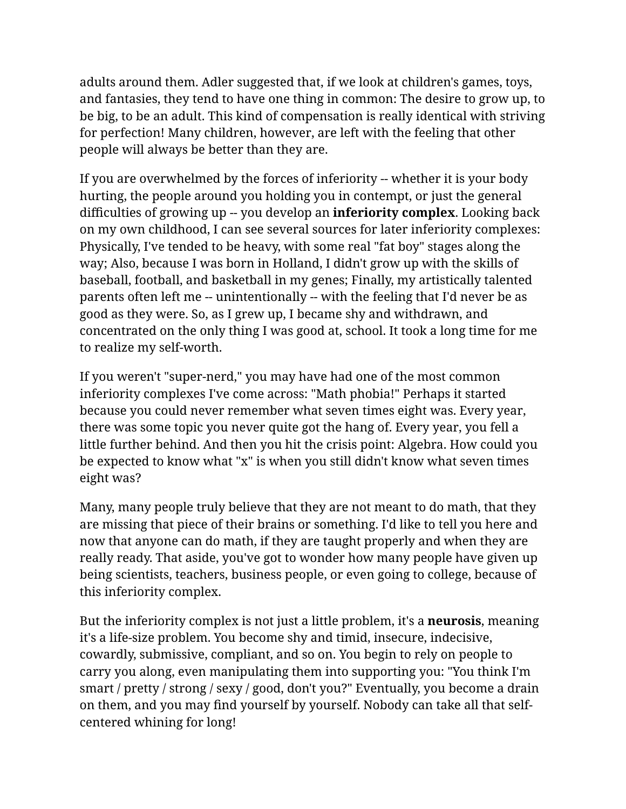adults around them. Adler suggested that, if we look at children's games, toys, and fantasies, they tend to have one thing in common: The desire to grow up, to be big, to be an adult. This kind of compensation is really identical with striving for perfection! Many children, however, are left with the feeling that other people will always be better than they are.

If you are overwhelmed by the forces of inferiority -- whether it is your body hurting, the people around you holding you in contempt, or just the general difficulties of growing up -- you develop an **inferiority complex**. Looking back on my own childhood, I can see several sources for later inferiority complexes: Physically, I've tended to be heavy, with some real "fat boy" stages along the way; Also, because I was born in Holland, I didn't grow up with the skills of baseball, football, and basketball in my genes; Finally, my artistically talented parents often left me -- unintentionally -- with the feeling that I'd never be as good as they were. So, as I grew up, I became shy and withdrawn, and concentrated on the only thing I was good at, school. It took a long time for me to realize my self-worth.

If you weren't "super-nerd," you may have had one of the most common inferiority complexes I've come across: "Math phobia!" Perhaps it started because you could never remember what seven times eight was. Every year, there was some topic you never quite got the hang of. Every year, you fell a little further behind. And then you hit the crisis point: Algebra. How could you be expected to know what "x" is when you still didn't know what seven times eight was?

Many, many people truly believe that they are not meant to do math, that they are missing that piece of their brains or something. I'd like to tell you here and now that anyone can do math, if they are taught properly and when they are really ready. That aside, you've got to wonder how many people have given up being scientists, teachers, business people, or even going to college, because of this inferiority complex.

But the inferiority complex is not just a little problem, it's a **neurosis**, meaning it's a life-size problem. You become shy and timid, insecure, indecisive, cowardly, submissive, compliant, and so on. You begin to rely on people to carry you along, even manipulating them into supporting you: "You think I'm smart / pretty / strong / sexy / good, don't you?" Eventually, you become a drain on them, and you may find yourself by yourself. Nobody can take all that selfcentered whining for long!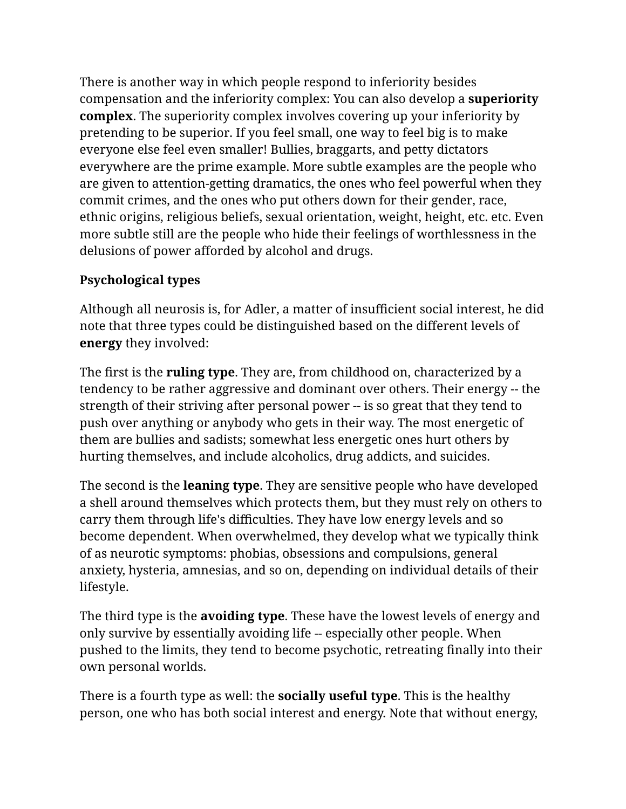There is another way in which people respond to inferiority besides compensation and the inferiority complex: You can also develop a **superiority complex**. The superiority complex involves covering up your inferiority by pretending to be superior. If you feel small, one way to feel big is to make everyone else feel even smaller! Bullies, braggarts, and petty dictators everywhere are the prime example. More subtle examples are the people who are given to attention-getting dramatics, the ones who feel powerful when they commit crimes, and the ones who put others down for their gender, race, ethnic origins, religious beliefs, sexual orientation, weight, height, etc. etc. Even more subtle still are the people who hide their feelings of worthlessness in the delusions of power afforded by alcohol and drugs.

#### **Psychological types**

Although all neurosis is, for Adler, a matter of insufficient social interest, he did note that three types could be distinguished based on the different levels of **energy** they involved:

The first is the **ruling type**. They are, from childhood on, characterized by a tendency to be rather aggressive and dominant over others. Their energy -- the strength of their striving after personal power -- is so great that they tend to push over anything or anybody who gets in their way. The most energetic of them are bullies and sadists; somewhat less energetic ones hurt others by hurting themselves, and include alcoholics, drug addicts, and suicides.

The second is the **leaning type**. They are sensitive people who have developed a shell around themselves which protects them, but they must rely on others to carry them through life's difficulties. They have low energy levels and so become dependent. When overwhelmed, they develop what we typically think of as neurotic symptoms: phobias, obsessions and compulsions, general anxiety, hysteria, amnesias, and so on, depending on individual details of their lifestyle.

The third type is the **avoiding type**. These have the lowest levels of energy and only survive by essentially avoiding life -- especially other people. When pushed to the limits, they tend to become psychotic, retreating finally into their own personal worlds.

There is a fourth type as well: the **socially useful type**. This is the healthy person, one who has both social interest and energy. Note that without energy,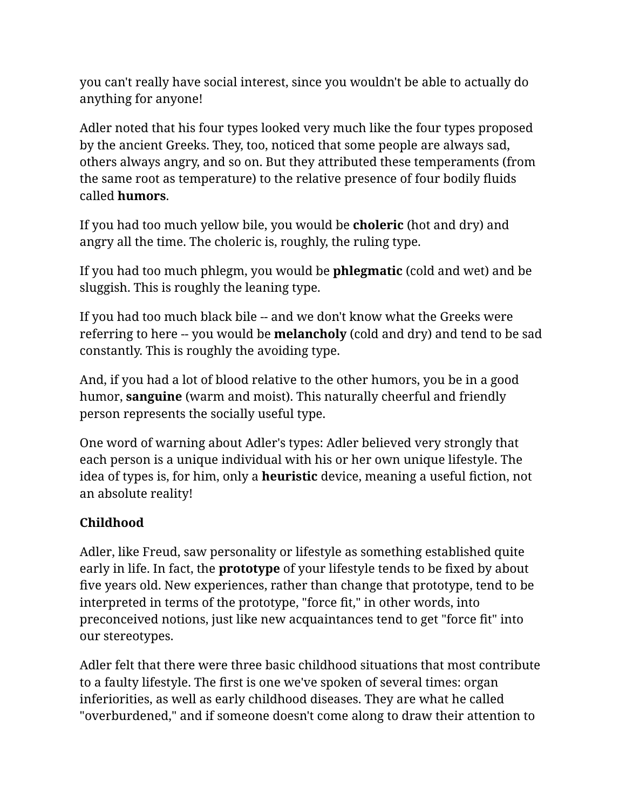you can't really have social interest, since you wouldn't be able to actually do anything for anyone!

Adler noted that his four types looked very much like the four types proposed by the ancient Greeks. They, too, noticed that some people are always sad, others always angry, and so on. But they attributed these temperaments (from the same root as temperature) to the relative presence of four bodily fluids called **humors**.

If you had too much yellow bile, you would be **choleric** (hot and dry) and angry all the time. The choleric is, roughly, the ruling type.

If you had too much phlegm, you would be **phlegmatic** (cold and wet) and be sluggish. This is roughly the leaning type.

If you had too much black bile -- and we don't know what the Greeks were referring to here -- you would be **melancholy** (cold and dry) and tend to be sad constantly. This is roughly the avoiding type.

And, if you had a lot of blood relative to the other humors, you be in a good humor, **sanguine** (warm and moist). This naturally cheerful and friendly person represents the socially useful type.

One word of warning about Adler's types: Adler believed very strongly that each person is a unique individual with his or her own unique lifestyle. The idea of types is, for him, only a **heuristic** device, meaning a useful fiction, not an absolute reality!

#### **Childhood**

Adler, like Freud, saw personality or lifestyle as something established quite early in life. In fact, the **prototype** of your lifestyle tends to be fixed by about five years old. New experiences, rather than change that prototype, tend to be interpreted in terms of the prototype, "force fit," in other words, into preconceived notions, just like new acquaintances tend to get "force fit" into our stereotypes.

Adler felt that there were three basic childhood situations that most contribute to a faulty lifestyle. The first is one we've spoken of several times: organ inferiorities, as well as early childhood diseases. They are what he called "overburdened," and if someone doesn't come along to draw their attention to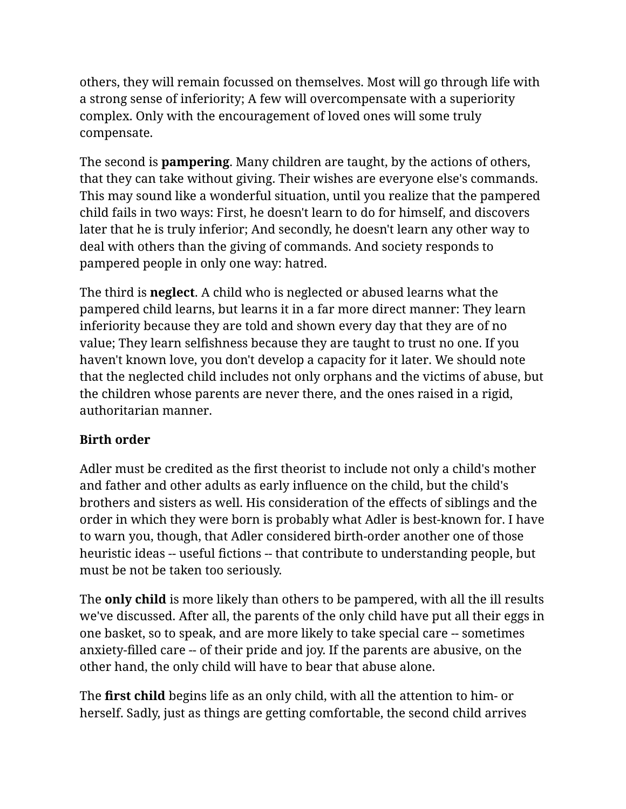others, they will remain focussed on themselves. Most will go through life with a strong sense of inferiority; A few will overcompensate with a superiority complex. Only with the encouragement of loved ones will some truly compensate.

The second is **pampering**. Many children are taught, by the actions of others, that they can take without giving. Their wishes are everyone else's commands. This may sound like a wonderful situation, until you realize that the pampered child fails in two ways: First, he doesn't learn to do for himself, and discovers later that he is truly inferior; And secondly, he doesn't learn any other way to deal with others than the giving of commands. And society responds to pampered people in only one way: hatred.

The third is **neglect**. A child who is neglected or abused learns what the pampered child learns, but learns it in a far more direct manner: They learn inferiority because they are told and shown every day that they are of no value; They learn selfishness because they are taught to trust no one. If you haven't known love, you don't develop a capacity for it later. We should note that the neglected child includes not only orphans and the victims of abuse, but the children whose parents are never there, and the ones raised in a rigid, authoritarian manner.

#### **Birth order**

Adler must be credited as the first theorist to include not only a child's mother and father and other adults as early influence on the child, but the child's brothers and sisters as well. His consideration of the effects of siblings and the order in which they were born is probably what Adler is best-known for. I have to warn you, though, that Adler considered birth-order another one of those heuristic ideas -- useful fictions -- that contribute to understanding people, but must be not be taken too seriously.

The **only child** is more likely than others to be pampered, with all the ill results we've discussed. After all, the parents of the only child have put all their eggs in one basket, so to speak, and are more likely to take special care -- sometimes anxiety-filled care -- of their pride and joy. If the parents are abusive, on the other hand, the only child will have to bear that abuse alone.

The **first child** begins life as an only child, with all the attention to him- or herself. Sadly, just as things are getting comfortable, the second child arrives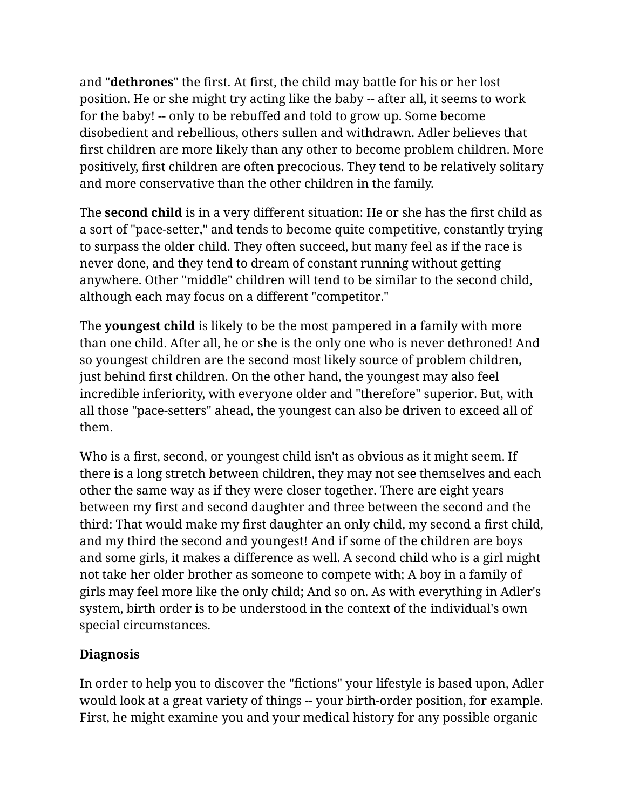and "**dethrones**" the first. At first, the child may battle for his or her lost position. He or she might try acting like the baby -- after all, it seems to work for the baby! -- only to be rebuffed and told to grow up. Some become disobedient and rebellious, others sullen and withdrawn. Adler believes that first children are more likely than any other to become problem children. More positively, first children are often precocious. They tend to be relatively solitary and more conservative than the other children in the family.

The **second child** is in a very different situation: He or she has the first child as a sort of "pace-setter," and tends to become quite competitive, constantly trying to surpass the older child. They often succeed, but many feel as if the race is never done, and they tend to dream of constant running without getting anywhere. Other "middle" children will tend to be similar to the second child, although each may focus on a different "competitor."

The **youngest child** is likely to be the most pampered in a family with more than one child. After all, he or she is the only one who is never dethroned! And so youngest children are the second most likely source of problem children, just behind first children. On the other hand, the youngest may also feel incredible inferiority, with everyone older and "therefore" superior. But, with all those "pace-setters" ahead, the youngest can also be driven to exceed all of them.

Who is a first, second, or youngest child isn't as obvious as it might seem. If there is a long stretch between children, they may not see themselves and each other the same way as if they were closer together. There are eight years between my first and second daughter and three between the second and the third: That would make my first daughter an only child, my second a first child, and my third the second and youngest! And if some of the children are boys and some girls, it makes a difference as well. A second child who is a girl might not take her older brother as someone to compete with; A boy in a family of girls may feel more like the only child; And so on. As with everything in Adler's system, birth order is to be understood in the context of the individual's own special circumstances.

#### **Diagnosis**

In order to help you to discover the "fictions" your lifestyle is based upon, Adler would look at a great variety of things -- your birth-order position, for example. First, he might examine you and your medical history for any possible organic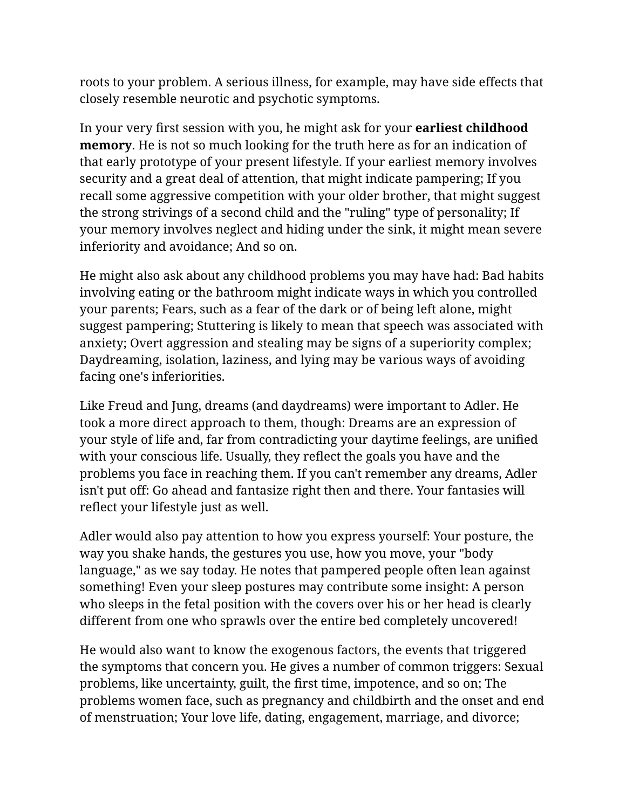roots to your problem. A serious illness, for example, may have side effects that closely resemble neurotic and psychotic symptoms.

In your very first session with you, he might ask for your **earliest childhood memory**. He is not so much looking for the truth here as for an indication of that early prototype of your present lifestyle. If your earliest memory involves security and a great deal of attention, that might indicate pampering; If you recall some aggressive competition with your older brother, that might suggest the strong strivings of a second child and the "ruling" type of personality; If your memory involves neglect and hiding under the sink, it might mean severe inferiority and avoidance; And so on.

He might also ask about any childhood problems you may have had: Bad habits involving eating or the bathroom might indicate ways in which you controlled your parents; Fears, such as a fear of the dark or of being left alone, might suggest pampering; Stuttering is likely to mean that speech was associated with anxiety; Overt aggression and stealing may be signs of a superiority complex; Daydreaming, isolation, laziness, and lying may be various ways of avoiding facing one's inferiorities.

Like Freud and Jung, dreams (and daydreams) were important to Adler. He took a more direct approach to them, though: Dreams are an expression of your style of life and, far from contradicting your daytime feelings, are unified with your conscious life. Usually, they reflect the goals you have and the problems you face in reaching them. If you can't remember any dreams, Adler isn't put off: Go ahead and fantasize right then and there. Your fantasies will reflect your lifestyle just as well.

Adler would also pay attention to how you express yourself: Your posture, the way you shake hands, the gestures you use, how you move, your "body language," as we say today. He notes that pampered people often lean against something! Even your sleep postures may contribute some insight: A person who sleeps in the fetal position with the covers over his or her head is clearly different from one who sprawls over the entire bed completely uncovered!

He would also want to know the exogenous factors, the events that triggered the symptoms that concern you. He gives a number of common triggers: Sexual problems, like uncertainty, guilt, the first time, impotence, and so on; The problems women face, such as pregnancy and childbirth and the onset and end of menstruation; Your love life, dating, engagement, marriage, and divorce;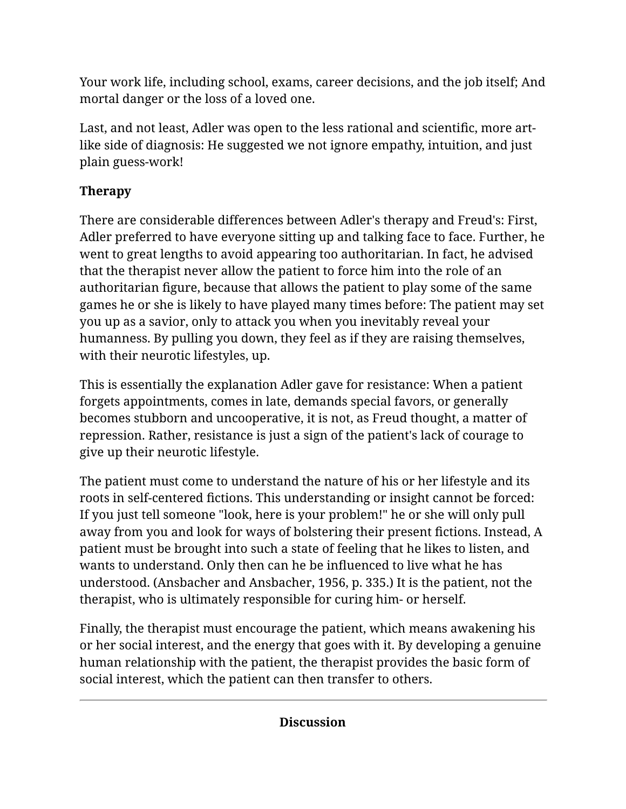Your work life, including school, exams, career decisions, and the job itself; And mortal danger or the loss of a loved one.

Last, and not least, Adler was open to the less rational and scientific, more artlike side of diagnosis: He suggested we not ignore empathy, intuition, and just plain guess-work!

### **Therapy**

There are considerable differences between Adler's therapy and Freud's: First, Adler preferred to have everyone sitting up and talking face to face. Further, he went to great lengths to avoid appearing too authoritarian. In fact, he advised that the therapist never allow the patient to force him into the role of an authoritarian figure, because that allows the patient to play some of the same games he or she is likely to have played many times before: The patient may set you up as a savior, only to attack you when you inevitably reveal your humanness. By pulling you down, they feel as if they are raising themselves, with their neurotic lifestyles, up.

This is essentially the explanation Adler gave for resistance: When a patient forgets appointments, comes in late, demands special favors, or generally becomes stubborn and uncooperative, it is not, as Freud thought, a matter of repression. Rather, resistance is just a sign of the patient's lack of courage to give up their neurotic lifestyle.

The patient must come to understand the nature of his or her lifestyle and its roots in self-centered fictions. This understanding or insight cannot be forced: If you just tell someone "look, here is your problem!" he or she will only pull away from you and look for ways of bolstering their present fictions. Instead, A patient must be brought into such a state of feeling that he likes to listen, and wants to understand. Only then can he be influenced to live what he has understood. (Ansbacher and Ansbacher, 1956, p. 335.) It is the patient, not the therapist, who is ultimately responsible for curing him- or herself.

Finally, the therapist must encourage the patient, which means awakening his or her social interest, and the energy that goes with it. By developing a genuine human relationship with the patient, the therapist provides the basic form of social interest, which the patient can then transfer to others.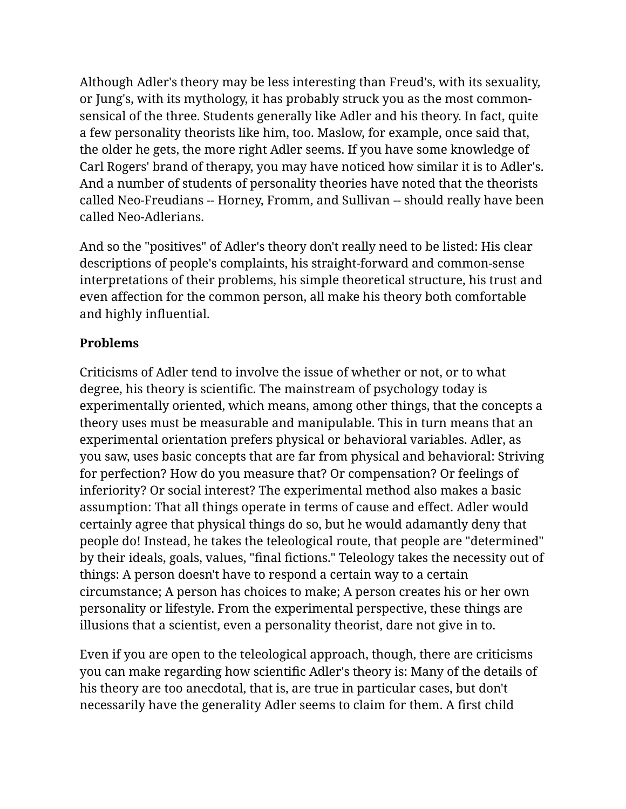Although Adler's theory may be less interesting than Freud's, with its sexuality, or Jung's, with its mythology, it has probably struck you as the most commonsensical of the three. Students generally like Adler and his theory. In fact, quite a few personality theorists like him, too. Maslow, for example, once said that, the older he gets, the more right Adler seems. If you have some knowledge of Carl Rogers' brand of therapy, you may have noticed how similar it is to Adler's. And a number of students of personality theories have noted that the theorists called Neo-Freudians -- Horney, Fromm, and Sullivan -- should really have been called Neo-Adlerians.

And so the "positives" of Adler's theory don't really need to be listed: His clear descriptions of people's complaints, his straight-forward and common-sense interpretations of their problems, his simple theoretical structure, his trust and even affection for the common person, all make his theory both comfortable and highly influential.

#### **Problems**

Criticisms of Adler tend to involve the issue of whether or not, or to what degree, his theory is scientific. The mainstream of psychology today is experimentally oriented, which means, among other things, that the concepts a theory uses must be measurable and manipulable. This in turn means that an experimental orientation prefers physical or behavioral variables. Adler, as you saw, uses basic concepts that are far from physical and behavioral: Striving for perfection? How do you measure that? Or compensation? Or feelings of inferiority? Or social interest? The experimental method also makes a basic assumption: That all things operate in terms of cause and effect. Adler would certainly agree that physical things do so, but he would adamantly deny that people do! Instead, he takes the teleological route, that people are "determined" by their ideals, goals, values, "final fictions." Teleology takes the necessity out of things: A person doesn't have to respond a certain way to a certain circumstance; A person has choices to make; A person creates his or her own personality or lifestyle. From the experimental perspective, these things are illusions that a scientist, even a personality theorist, dare not give in to.

Even if you are open to the teleological approach, though, there are criticisms you can make regarding how scientific Adler's theory is: Many of the details of his theory are too anecdotal, that is, are true in particular cases, but don't necessarily have the generality Adler seems to claim for them. A first child